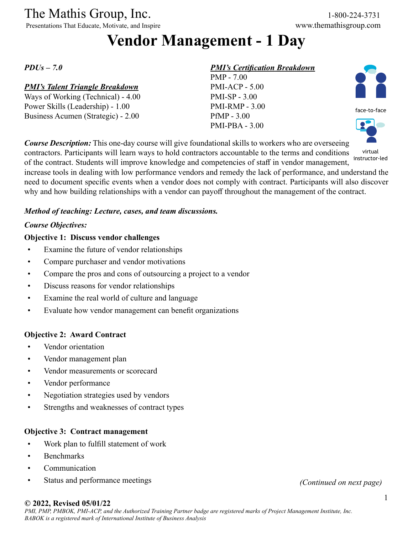### The Mathis Group, Inc. 1-800-224-3731

Presentations That Educate, Motivate, and Inspire www.themathisgroup.com

# **Vendor Management - 1 Day**

*PDUs – 7.0*

### *PMI's Talent Triangle Breakdown*

Ways of Working (Technical) - 4.00 Power Skills (Leadership) - 1.00 Business Acumen (Strategic) - 2.00

### *PMI's Certification Breakdown*

PMP - 7.00 PMI-ACP - 5.00 PMI-SP - 3.00 PMI-RMP - 3.00 PfMP - 3.00 PMI-PBA - 3.00





*Course Description:* This one-day course will give foundational skills to workers who are overseeing contractors. Participants will learn ways to hold contractors accountable to the terms and conditions of the contract. Students will improve knowledge and competencies of staff in vendor management, increase tools in dealing with low performance vendors and remedy the lack of performance, and understand the need to document specific events when a vendor does not comply with contract. Participants will also discover virtual

why and how building relationships with a vendor can payoff throughout the management of the contract.

instructor-led

### *Method of teaching: Lecture, cases, and team discussions.*

### *Course Objectives:*

### **Objective 1: Discuss vendor challenges**

- Examine the future of vendor relationships
- Compare purchaser and vendor motivations
- Compare the pros and cons of outsourcing a project to a vendor
- Discuss reasons for vendor relationships
- Examine the real world of culture and language
- Evaluate how vendor management can benefit organizations

### **Objective 2: Award Contract**

- Vendor orientation
- Vendor management plan
- Vendor measurements or scorecard
- Vendor performance
- Negotiation strategies used by vendors
- Strengths and weaknesses of contract types

### **Objective 3: Contract management**

- Work plan to fulfill statement of work
- Benchmarks
- Communication
- Status and performance meetings *(Continued on next page)*

### **© 2022, Revised 05/01/22**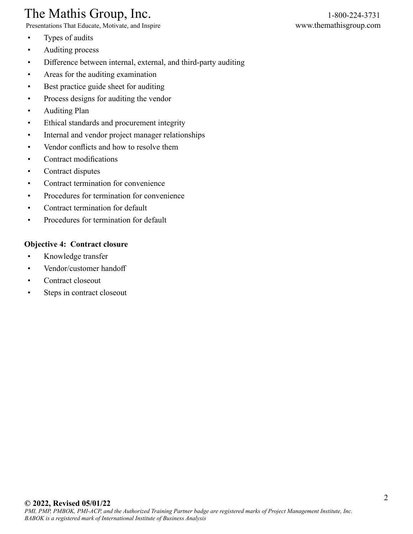### The Mathis Group, Inc. 1-800-224-3731

Presentations That Educate, Motivate, and Inspire www.themathisgroup.com

- Types of audits
- Auditing process
- Difference between internal, external, and third-party auditing
- Areas for the auditing examination
- Best practice guide sheet for auditing
- Process designs for auditing the vendor
- Auditing Plan
- Ethical standards and procurement integrity
- Internal and vendor project manager relationships
- Vendor conflicts and how to resolve them
- Contract modifications
- Contract disputes
- Contract termination for convenience
- Procedures for termination for convenience
- Contract termination for default
- Procedures for termination for default

### **Objective 4: Contract closure**

- Knowledge transfer
- Vendor/customer handoff
- Contract closeout
- Steps in contract closeout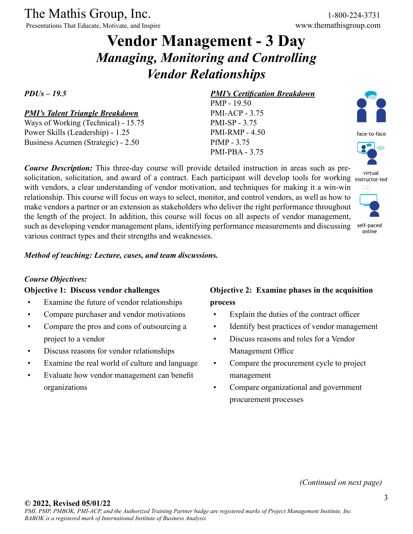Presentations That Educate, Motivate, and Inspire

# **Vendor Management - 3 Day** *Managing, Monitoring and Controlling Vendor Relationships*

### *PDUs – 19.5*

### *PMI's Talent Triangle Breakdown*

Ways of Working (Technical) - 15.75 Power Skills (Leadership) - 1.25 Business Acumen (Strategic) - 2.50

*Course Description:* This three-day course will provide detailed instruction in areas such as presolicitation, solicitation, and award of a contract. Each participant will develop tools for working instructor-led with vendors, a clear understanding of vendor motivation, and techniques for making it a win-win relationship. This course will focus on ways to select, monitor, and control vendors, as well as how to make vendors a partner or an extension as stakeholders who deliver the right performance throughout the length of the project. In addition, this course will focus on all aspects of vendor management, such as developing vendor management plans, identifying performance measurements and discussing various contract types and their strengths and weaknesses.

### *Method of teaching: Lecture, cases, and team discussions.*

### *Course Objectives:*

#### **Objective 1: Discuss vendor challenges**

- Examine the future of vendor relationships
- Compare purchaser and vendor motivations
- Compare the pros and cons of outsourcing a project to a vendor
- Discuss reasons for vendor relationships
- Examine the real world of culture and language
- Evaluate how vendor management can benefit organizations

### *PMI's Certification Breakdown*

PMP - 19.50 PMI-ACP - 3.75 PMI-SP - 3.75 PMI-RMP - 4.50 PfMP - 3.75 PMI-PBA - 3.75



face-to-face





**Objective 2: Examine phases in the acquisition** 

**process**

- Explain the duties of the contract officer
- Identify best practices of vendor management
- Discuss reasons and roles for a Vendor Management Office
- Compare the procurement cycle to project management
- Compare organizational and government procurement processes

*(Continued on next page)*